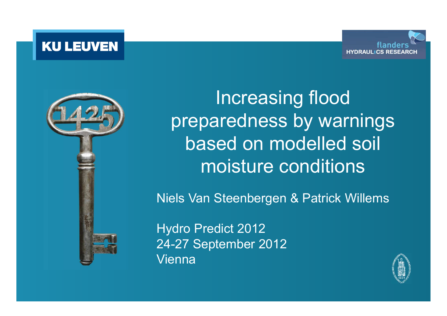**KU LEUVEN** 





Increasing flood preparedness by warnings based on modelled soil moisture conditions

Niels Van Steenbergen & Patrick Willems

Hydro Predict 2012 24-27 September 2012Vienna

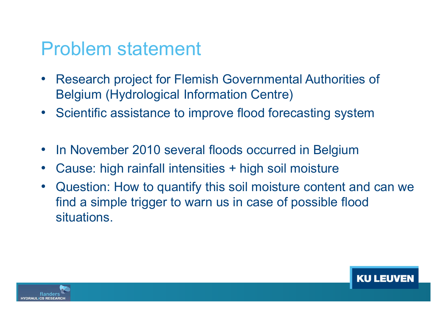#### Problem statement

- Research project for Flemish Governmental Authorities of Belgium (Hydrological Information Centre)
- Scientific assistance to improve flood forecasting system
- In November 2010 several floods occurred in Belgium
- •Cause: high rainfall intensities + high soil moisture
- • Question: How to quantify this soil moisture content and can we find a simple trigger to warn us in case of possible flood situations.

**KU LEU** 

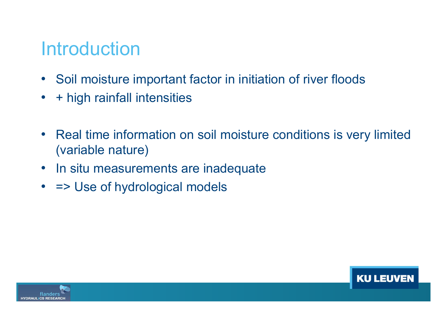#### Introduction

- Soil moisture important factor in initiation of river floods
- •+ high rainfall intensities
- Real time information on soil moisture conditions is very limited (variable nature)
- In situ measurements are inadequate
- => Use of hydrological models



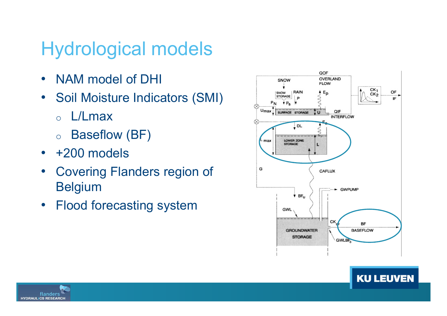# Hydrological models

- NAM model of DHI
- Soil Moisture Indicators (SMI)
	- oL/Lmax
	- o $\circ$  Baseflow (BF)
- +200 models
- Covering Flanders region of Belgium
- Flood forecasting system



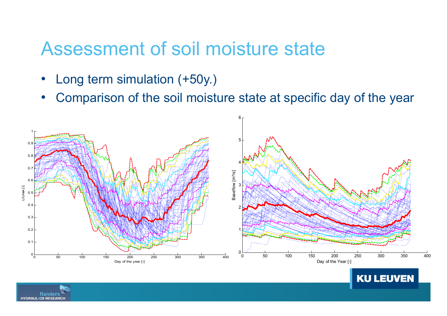#### Assessment of soil moisture state

- •Long term simulation (+50y.)
- •Comparison of the soil moisture state at specific day of the year



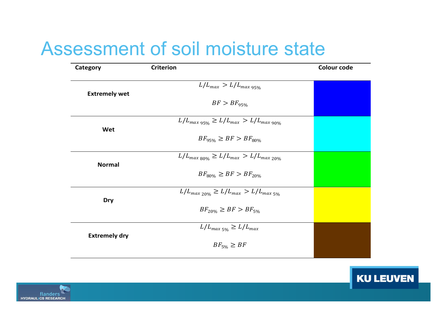## Assessment of soil moisture state

| Category             | <b>Criterion</b>                                                     | <b>Colour code</b> |
|----------------------|----------------------------------------------------------------------|--------------------|
| <b>Extremely wet</b> | $L/L_{max} > L/L_{max}$ 95%                                          |                    |
|                      | $BF > BF_{95\%}$                                                     |                    |
| Wet                  | $L/L_{max\ 95\%} \ge L/L_{max} > L/L_{max\ 90\%}$                    |                    |
|                      | $BF_{95\%} \ge BF > BF_{80\%}$                                       |                    |
| <b>Normal</b>        | $L/L_{max \, \text{R00\%}} \ge L/L_{max} > L/L_{max \, \text{20\%}}$ |                    |
|                      | $BF_{80\%} \ge BF > BF_{20\%}$                                       |                    |
| <b>Dry</b>           | $L/L_{max,20\%} \ge L/L_{max} > L/L_{max,5\%}$                       |                    |
|                      | $BF_{20\%} \ge BF > BF_{5\%}$                                        |                    |
| <b>Extremely dry</b> | $L/L_{max 5\%} \ge L/L_{max}$                                        |                    |
|                      | $BF_{5\%} \geq BF$                                                   |                    |
|                      |                                                                      |                    |

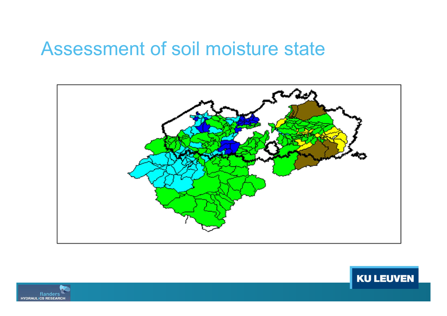#### Assessment of soil moisture state





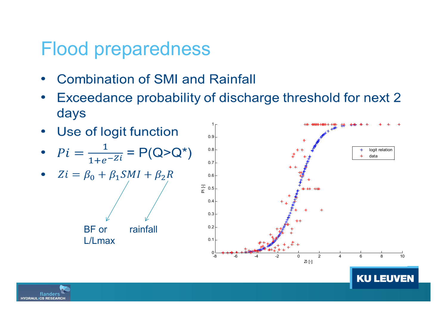- **Combination of SMI and Rainfall**
- Exceedance probability of discharge threshold for next 2 days



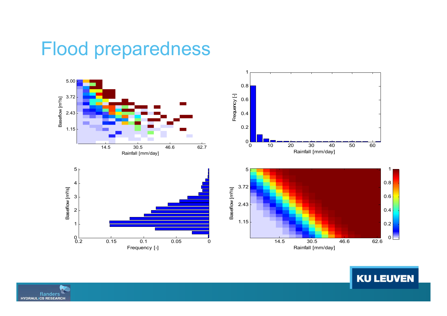

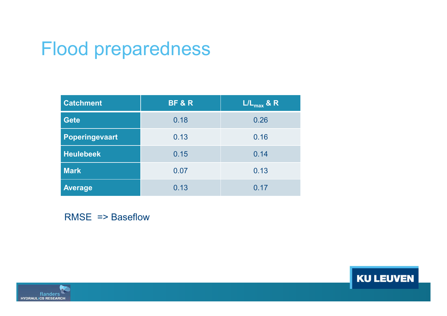| <b>Catchment</b>      | <b>BF &amp; R</b> | $L/L_{max}$ & R |
|-----------------------|-------------------|-----------------|
| <b>Gete</b>           | 0.18              | 0.26            |
| <b>Poperingevaart</b> | 0.13              | 0.16            |
| <b>Heulebeek</b>      | 0.15              | 0.14            |
| <b>Mark</b>           | 0.07              | 0.13            |
| <b>Average</b>        | 0.13              | 0.17            |

RMSE => Baseflow

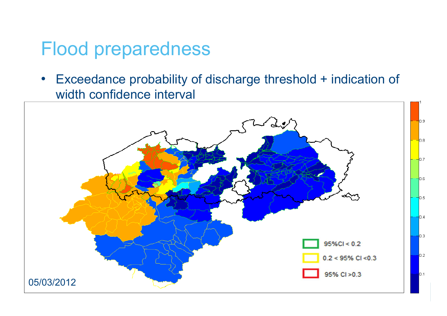• Exceedance probability of discharge threshold + indication of width confidence interval

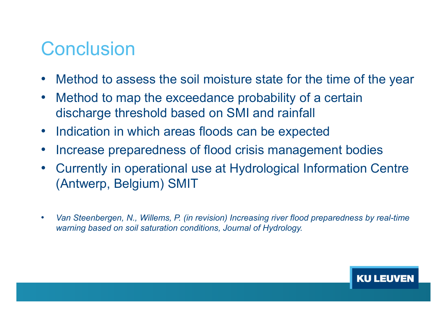#### **Conclusion**

- •Method to assess the soil moisture state for the time of the year
- • Method to map the exceedance probability of a certain discharge threshold based on SMI and rainfall
- Indication in which areas floods can be expected
- •Increase preparedness of flood crisis management bodies
- • Currently in operational use at Hydrological Information Centre (Antwerp, Belgium) SMIT
- • Van Steenbergen, N., Willems, P. (in revision) Increasing river flood preparedness by real-time warning based on soil saturation conditions, Journal of Hydrology.

**KUL**